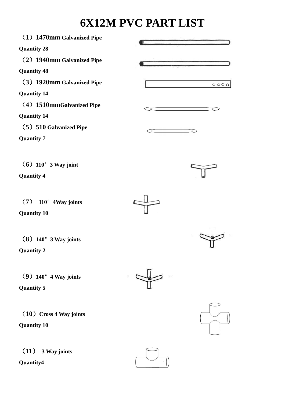## **6X12M PVC PART LIST**

| (1) 1470mm Galvanized Pipe |         |           |
|----------------------------|---------|-----------|
| <b>Quantity 28</b>         |         |           |
| (2) 1940mm Galvanized Pipe |         |           |
| <b>Quantity 48</b>         |         |           |
| (3) 1920mm Galvanized Pipe |         | 0000      |
| <b>Quantity 14</b>         |         |           |
| (4) 1510mmGalvanized Pipe  | $\circ$ | $\circ$   |
| <b>Quantity 14</b>         |         |           |
| (5) 510 Galvanized Pipe    | $\sim$  | $\circ$ . |
| <b>Quantity 7</b>          |         |           |
|                            |         |           |
| $(6)$ 110° 3 Way joint     |         |           |
| <b>Quantity 4</b>          |         |           |
|                            |         |           |
| $(7)$ 110° 4Way joints     |         |           |
| <b>Quantity 10</b>         |         |           |
|                            |         |           |
|                            |         |           |
| $(8)$ 140° 3 Way joints    |         |           |
| <b>Quantity 2</b>          |         |           |
|                            |         |           |
| $(9)$ 140° 4 Way joints    |         |           |
| Quantity 5                 |         |           |
|                            |         |           |
| (10) Cross 4 Way joints    |         |           |
| <b>Quantity 10</b>         |         |           |
|                            |         |           |
| (11)<br>3 Way joints       |         |           |
| Quantity4                  |         |           |
|                            |         |           |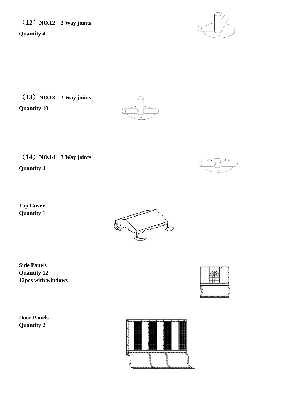(**12**)**NO.12 3 Way joints** 

**Quantity 4**

(**13**)**NO.13 3 Way joints** 

**Quantity 10**



(**14**)**NO.14 3 Way joints** 

**Quantity 4**

**Top Cover Quantity 1**

**Side Panels**





**Quantity 12 12pcs with windows**

**Door Panels Quantity 2** 

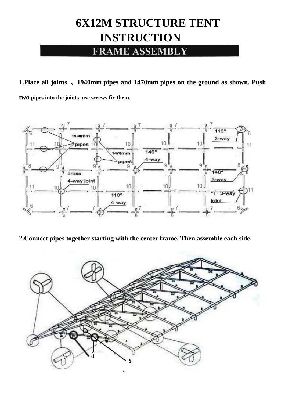## **6X12M STRUCTURE TENT INSTRUCTION**

**FRAME ASSEMBLY** 

**1.Place all joints** 、**1940mm pipes and 1470mm pipes on the ground as shown. Push two pipes into the joints, use screws fix them.**



**2.Connect pipes together starting with the center frame. Then assemble each side.**